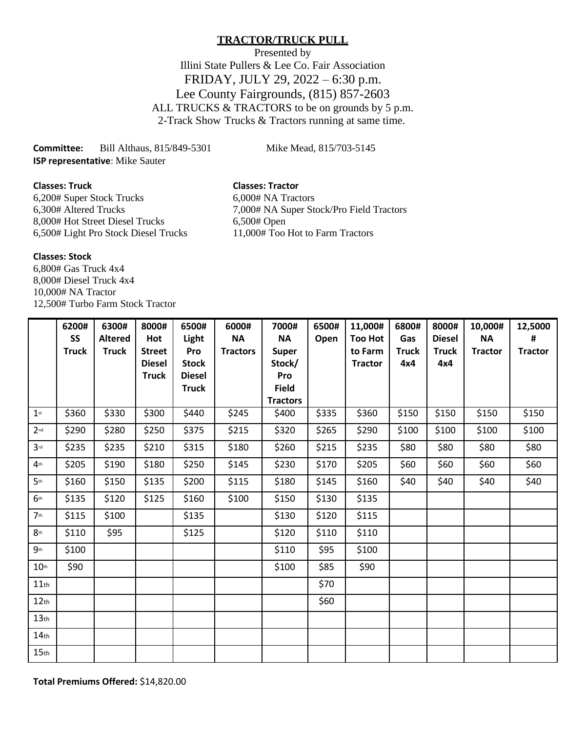# **TRACTOR/TRUCK PULL**

Presented by Illini State Pullers & Lee Co. Fair Association FRIDAY, JULY 29, 2022 – 6:30 p.m. Lee County Fairgrounds, (815) 857-2603 ALL TRUCKS & TRACTORS to be on grounds by 5 p.m. 2-Track Show Trucks & Tractors running at same time.

**Committee:** Bill Althaus, 815/849-5301 Mike Mead, 815/703-5145 **ISP representative**: Mike Sauter

**Classes: Truck Classes: Tractor**

6,200# Super Stock Trucks 6,000 + NA Tractors<br>6,300# Altered Trucks 7,000# NA Super St 8,000# Hot Street Diesel Trucks 6,500# Open 6,500# Light Pro Stock Diesel Trucks 11,000# Too Hot to Farm Tractors

7,000# NA Super Stock/Pro Field Tractors

## **Classes: Stock**

6,800# Gas Truck 4x4 8,000# Diesel Truck 4x4 10,000# NA Tractor 12,500# Turbo Farm Stock Tractor

|                  | 6200#        | 6300#          | 8000#         | 6500#         | 6000#           | 7000#                           | 6500# | 11,000#        | 6800#        | 8000#         | 10,000#        | 12,5000        |
|------------------|--------------|----------------|---------------|---------------|-----------------|---------------------------------|-------|----------------|--------------|---------------|----------------|----------------|
|                  | SS           | <b>Altered</b> | Hot           | Light         | <b>NA</b>       | <b>NA</b>                       | Open  | <b>Too Hot</b> | Gas          | <b>Diesel</b> | <b>NA</b>      | #              |
|                  | <b>Truck</b> | <b>Truck</b>   | <b>Street</b> | Pro           | <b>Tractors</b> | <b>Super</b>                    |       | to Farm        | <b>Truck</b> | <b>Truck</b>  | <b>Tractor</b> | <b>Tractor</b> |
|                  |              |                | <b>Diesel</b> | <b>Stock</b>  |                 | Stock/                          |       | <b>Tractor</b> | 4x4          | 4x4           |                |                |
|                  |              |                | <b>Truck</b>  | <b>Diesel</b> |                 | Pro                             |       |                |              |               |                |                |
|                  |              |                |               | <b>Truck</b>  |                 | <b>Field</b><br><b>Tractors</b> |       |                |              |               |                |                |
| $1$ st           | \$360        | \$330          | \$300         | \$440         | \$245           | \$400                           | \$335 | \$360          | \$150        | \$150         | \$150          | \$150          |
| 2 <sub>nd</sub>  | \$290        | \$280          | \$250         | \$375         | \$215           | \$320                           | \$265 | \$290          | \$100        | \$100         | \$100          | \$100          |
| 3 <sup>rd</sup>  | \$235        | \$235          | \$210         | \$315         | \$180           | \$260                           | \$215 | \$235          | \$80         | \$80          | \$80           | \$80           |
| 4 <sup>th</sup>  | \$205        | \$190          | \$180         | \$250         | \$145           | \$230                           | \$170 | \$205          | \$60         | \$60          | \$60           | \$60           |
| 5 <sup>th</sup>  | \$160        | \$150          | \$135         | \$200         | \$115           | \$180                           | \$145 | \$160          | \$40         | \$40          | \$40           | \$40           |
| 6 <sup>th</sup>  | \$135        | \$120          | \$125         | \$160         | \$100           | \$150                           | \$130 | \$135          |              |               |                |                |
| 7 <sub>th</sub>  | \$115        | \$100          |               | \$135         |                 | \$130                           | \$120 | \$115          |              |               |                |                |
| 8 <sup>th</sup>  | \$110        | \$95           |               | \$125         |                 | \$120                           | \$110 | \$110          |              |               |                |                |
| 9 <sub>th</sub>  | \$100        |                |               |               |                 | \$110                           | \$95  | \$100          |              |               |                |                |
| 10 <sup>th</sup> | \$90         |                |               |               |                 | \$100                           | \$85  | \$90           |              |               |                |                |
| $11$ th          |              |                |               |               |                 |                                 | \$70  |                |              |               |                |                |
| 12 <sub>th</sub> |              |                |               |               |                 |                                 | \$60  |                |              |               |                |                |
| 13 <sub>th</sub> |              |                |               |               |                 |                                 |       |                |              |               |                |                |
| $14$ th          |              |                |               |               |                 |                                 |       |                |              |               |                |                |
| 15 <sub>th</sub> |              |                |               |               |                 |                                 |       |                |              |               |                |                |